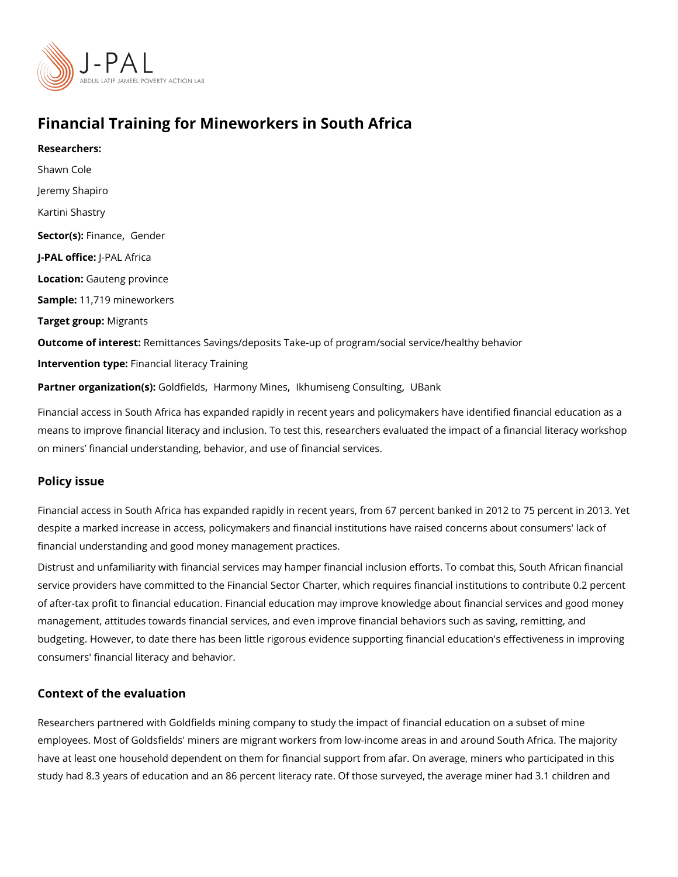# Financial Training for Mineworkers in South Africa

Researchers: [Shawn C](https://www.povertyactionlab.org/person/cole)ole Jeremy Shapiro Kartini Shastry Sector(Fsi)n an[,](https://www.povertyactionlab.org/sector/finance) c@ender J-PAL oftli-cPeAL Africa Locatio Gauteng province Sample: 1,719 mineworkers Target groMpgrants Outcome of inteRestittances Savings/deposits Take-up of program/social service/healthy b Intervention typreancial literacy Training Partner organizatGoon(dsi)elldsarmony Minestumiseng Consulating

Financial access in South Africa has expanded rapidly in recent years and policymakers h means to improve financial literacy and inclusion. To test this, researchers evaluated the on miners financial understanding, behavior, and use of financial services.

#### Policy issue

Financial access in South Africa has expanded rapidly in recent years, from 67 percent bank despite a marked increase in access, policymakers and financial institutions have raised financial understanding and good money management practices.

Distrust and unfamiliarity with financial services may hamper financial inclusion efforts. service providers have committed to the Financial Sector Charter, which requires financia of after-tax profit to financial education. Financial education may improve knowledge abo management, attitudes towards financial services, and even improve financial behaviors s budgeting. However, to date there has been little rigorous evidence supporting financial  $\epsilon$ consumers' financial literacy and behavior.

#### Context of the evaluation

Researchers partnered with Goldfields mining company to study the impact of financial ed employees. Most of Goldsfields' miners are migrant workers from low-income areas in and have at least one household dependent on them for financial support from afar. On averag study had 8.3 years of education and an 86 percent literacy rate. Of those surveyed, the